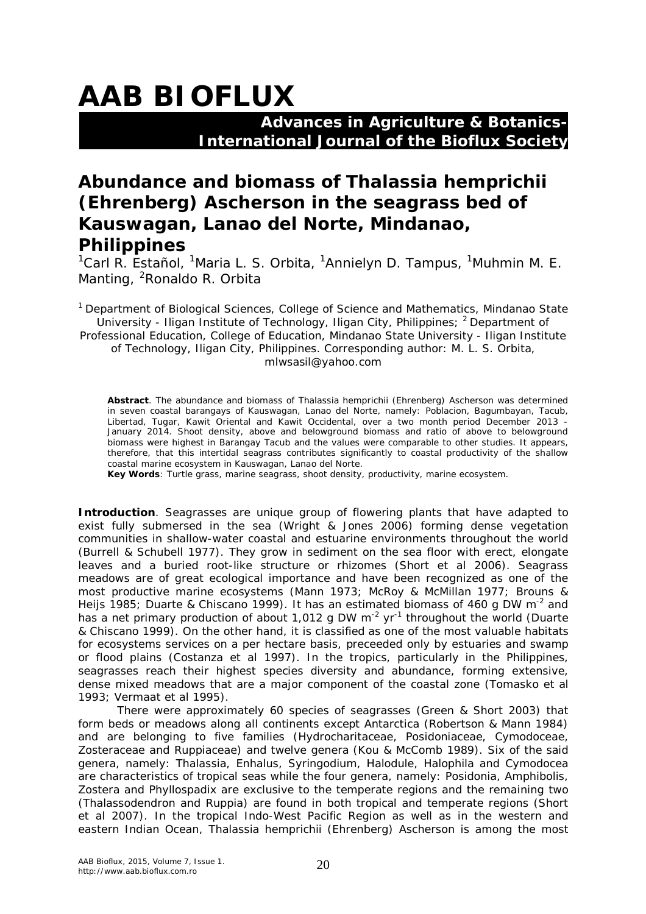## **AAB BIOFLUX**

## **Advances in Agriculture & Botanics- International Journal of the Bioflux Society**

## **Abundance and biomass of** *Thalassia hemprichii* **(Ehrenberg) Ascherson in the seagrass bed of Kauswagan, Lanao del Norte, Mindanao, Philippines**

<sup>1</sup>Carl R. Estañol, <sup>1</sup>Maria L. S. Orbita, <sup>1</sup>Annielyn D. Tampus, <sup>1</sup>Muhmin M. E. Manting, <sup>2</sup>Ronaldo R. Orbita

<sup>1</sup> Department of Biological Sciences, College of Science and Mathematics, Mindanao State University - Iligan Institute of Technology, Iligan City, Philippines; <sup>2</sup> Department of Professional Education, College of Education, Mindanao State University - Iligan Institute of Technology, Iligan City, Philippines. Corresponding author: M. L. S. Orbita, mlwsasil@yahoo.com

**Abstract**. The abundance and biomass of *Thalassia hemprichii* (Ehrenberg) Ascherson was determined in seven coastal barangays of Kauswagan, Lanao del Norte, namely: Poblacion, Bagumbayan, Tacub, Libertad, Tugar, Kawit Oriental and Kawit Occidental, over a two month period December 2013 - January 2014. Shoot density, above and belowground biomass and ratio of above to belowground biomass were highest in Barangay Tacub and the values were comparable to other studies. It appears, therefore, that this intertidal seagrass contributes significantly to coastal productivity of the shallow coastal marine ecosystem in Kauswagan, Lanao del Norte.

**Key Words**: Turtle grass, marine seagrass, shoot density, productivity, marine ecosystem.

**Introduction**. Seagrasses are unique group of flowering plants that have adapted to exist fully submersed in the sea (Wright & Jones 2006) forming dense vegetation communities in shallow-water coastal and estuarine environments throughout the world (Burrell & Schubell 1977). They grow in sediment on the sea floor with erect, elongate leaves and a buried root-like structure or rhizomes (Short et al 2006). Seagrass meadows are of great ecological importance and have been recognized as one of the most productive marine ecosystems (Mann 1973; McRoy & McMillan 1977; Brouns & Heijs 1985; Duarte & Chiscano 1999). It has an estimated biomass of 460 g DW m<sup>-2</sup> and has a net primary production of about 1,012 g DW  $m^{-2}$  yr<sup>-1</sup> throughout the world (Duarte & Chiscano 1999). On the other hand, it is classified as one of the most valuable habitats for ecosystems services on a per hectare basis, preceeded only by estuaries and swamp or flood plains (Costanza et al 1997). In the tropics, particularly in the Philippines, seagrasses reach their highest species diversity and abundance, forming extensive, dense mixed meadows that are a major component of the coastal zone (Tomasko et al 1993; Vermaat et al 1995).

There were approximately 60 species of seagrasses (Green & Short 2003) that form beds or meadows along all continents except Antarctica (Robertson & Mann 1984) and are belonging to five families (Hydrocharitaceae, Posidoniaceae, Cymodoceae, Zosteraceae and Ruppiaceae) and twelve genera (Kou & McComb 1989). Six of the said genera, namely: *Thalassia, Enhalus, Syringodium, Halodule, Halophila* and *Cymodocea*  are characteristics of tropical seas while the four genera, namely: *Posidonia, Amphibolis, Zostera* and *Phyllospadix* are exclusive to the temperate regions and the remaining two (*Thalassodendron* and *Ruppia*) are found in both tropical and temperate regions (Short et al 2007). In the tropical Indo-West Pacific Region as well as in the western and eastern Indian Ocean, *Thalassia hemprichii* (Ehrenberg) Ascherson is among the most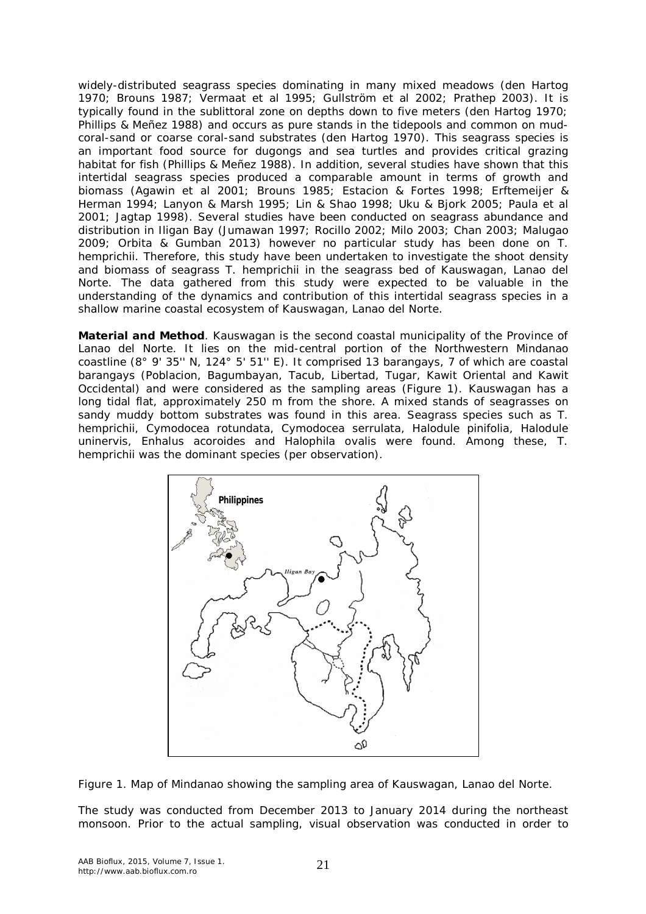widely-distributed seagrass species dominating in many mixed meadows (den Hartog 1970; Brouns 1987; Vermaat et al 1995; Gullström et al 2002; Prathep 2003). It is typically found in the sublittoral zone on depths down to five meters (den Hartog 1970; Phillips & Meñez 1988) and occurs as pure stands in the tidepools and common on mudcoral-sand or coarse coral-sand substrates (den Hartog 1970). This seagrass species is an important food source for dugongs and sea turtles and provides critical grazing habitat for fish (Phillips & Meñez 1988). In addition, several studies have shown that this intertidal seagrass species produced a comparable amount in terms of growth and biomass (Agawin et al 2001; Brouns 1985; Estacion & Fortes 1998; Erftemeijer & Herman 1994; Lanyon & Marsh 1995; Lin & Shao 1998; Uku & Bjork 2005; Paula et al 2001; Jagtap 1998). Several studies have been conducted on seagrass abundance and distribution in Iligan Bay (Jumawan 1997; Rocillo 2002; Milo 2003; Chan 2003; Malugao 2009; Orbita & Gumban 2013) however no particular study has been done on *T. hemprichii.* Therefore, this study have been undertaken to investigate the shoot density and biomass of seagrass *T. hemprichii* in the seagrass bed of Kauswagan, Lanao del Norte. The data gathered from this study were expected to be valuable in the understanding of the dynamics and contribution of this intertidal seagrass species in a shallow marine coastal ecosystem of Kauswagan, Lanao del Norte.

**Material and Method**. Kauswagan is the second coastal municipality of the Province of Lanao del Norte. It lies on the mid-central portion of the Northwestern Mindanao coastline (8° 9' 35'' N, 124° 5' 51'' E). It comprised 13 barangays, 7 of which are coastal barangays (Poblacion, Bagumbayan, Tacub, Libertad, Tugar, Kawit Oriental and Kawit Occidental) and were considered as the sampling areas (Figure 1). Kauswagan has a long tidal flat, approximately 250 m from the shore. A mixed stands of seagrasses on sandy muddy bottom substrates was found in this area. Seagrass species such as *T. hemprichii, Cymodocea rotundata, Cymodocea serrulata, Halodule pinifolia, Halodule uninervis, Enhalus acoroides* and *Halophila ovalis* were found. Among these, *T. hemprichii* was the dominant species (per observation).



Figure 1. Map of Mindanao showing the sampling area of Kauswagan, Lanao del Norte.

The study was conducted from December 2013 to January 2014 during the northeast monsoon. Prior to the actual sampling, visual observation was conducted in order to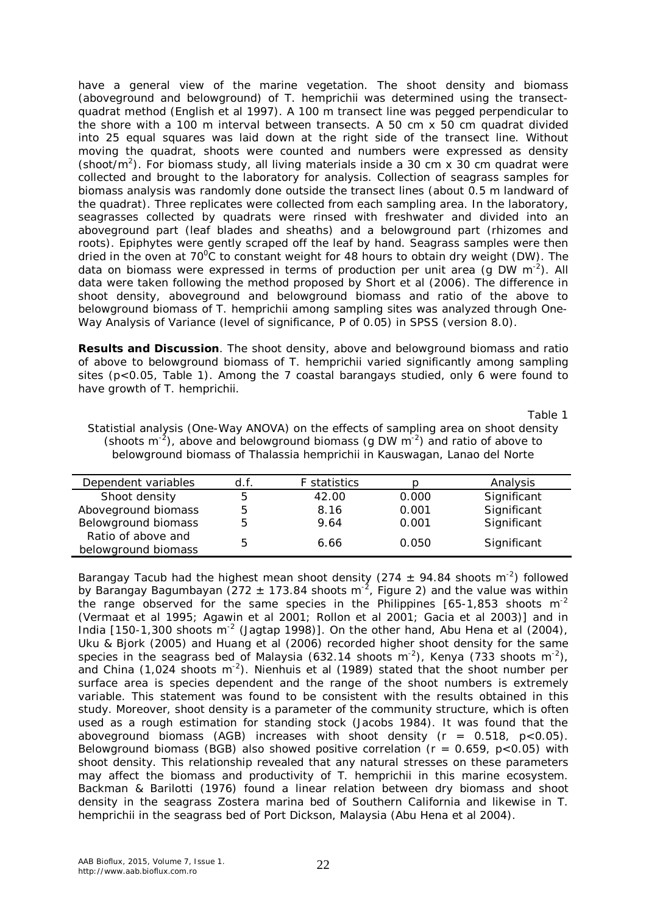have a general view of the marine vegetation. The shoot density and biomass (aboveground and belowground) of *T. hemprichii* was determined using the transectquadrat method (English et al 1997). A 100 m transect line was pegged perpendicular to the shore with a 100 m interval between transects. A 50 cm x 50 cm quadrat divided into 25 equal squares was laid down at the right side of the transect line. Without moving the quadrat, shoots were counted and numbers were expressed as density (shoot/ $m<sup>2</sup>$ ). For biomass study, all living materials inside a 30 cm x 30 cm quadrat were collected and brought to the laboratory for analysis. Collection of seagrass samples for biomass analysis was randomly done outside the transect lines (about 0.5 m landward of the quadrat). Three replicates were collected from each sampling area. In the laboratory, seagrasses collected by quadrats were rinsed with freshwater and divided into an aboveground part (leaf blades and sheaths) and a belowground part (rhizomes and roots). Epiphytes were gently scraped off the leaf by hand. Seagrass samples were then dried in the oven at  $70^{\circ}$ C to constant weight for 48 hours to obtain dry weight (DW). The data on biomass were expressed in terms of production per unit area (g DW m<sup>-2</sup>). All data were taken following the method proposed by Short et al (2006). The difference in shoot density, aboveground and belowground biomass and ratio of the above to belowground biomass of *T. hemprichii* among sampling sites was analyzed through One-Way Analysis of Variance (level of significance, P of 0.05) in SPSS (version 8.0).

**Results and Discussion**. The shoot density, above and belowground biomass and ratio of above to belowground biomass of *T. hemprichii* varied significantly among sampling sites ( $p < 0.05$ , Table 1). Among the 7 coastal barangays studied, only 6 were found to have growth of *T. hemprichii*.

Table 1

| Statistial analysis (One-Way ANOVA) on the effects of sampling area on shoot density     |
|------------------------------------------------------------------------------------------|
| (shoots $m^{-2}$ ), above and belowground biomass (g DW $m^{-2}$ ) and ratio of above to |
| belowground biomass of Thalassia hemprichii in Kauswagan, Lanao del Norte                |

| Dependent variables | d.f. | <b>F</b> statistics |       | Analysis    |
|---------------------|------|---------------------|-------|-------------|
| Shoot density       | 5    | 42.00               | 0.000 | Significant |
| Aboveground biomass | 5    | 8.16                | 0.001 | Significant |
| Belowground biomass | 5    | 9.64                | 0.001 | Significant |
| Ratio of above and  |      | 6.66                | 0.050 |             |
| belowground biomass | b    |                     |       | Significant |

Barangay Tacub had the highest mean shoot density (274  $\pm$  94.84 shoots m<sup>-2</sup>) followed by Barangay Bagumbayan (272  $\pm$  173.84 shoots m<sup>-2</sup>, Figure 2) and the value was within the range observed for the same species in the Philippines  $[65-1,853$  shoots m<sup>-2</sup> (Vermaat et al 1995; Agawin et al 2001; Rollon et al 2001; Gacia et al 2003)] and in India  $[150-1,300$  shoots m<sup>-2</sup> (Jagtap 1998)]. On the other hand, Abu Hena et al (2004), Uku & Bjork (2005) and Huang et al (2006) recorded higher shoot density for the same species in the seagrass bed of Malaysia (632.14 shoots m<sup>-2</sup>), Kenya (733 shoots m<sup>-2</sup>), and China (1,024 shoots m<sup>-2</sup>). Nienhuis et al (1989) stated that the shoot number per surface area is species dependent and the range of the shoot numbers is extremely variable. This statement was found to be consistent with the results obtained in this study. Moreover, shoot density is a parameter of the community structure, which is often used as a rough estimation for standing stock (Jacobs 1984). It was found that the aboveground biomass (AGB) increases with shoot density  $(r = 0.518, p < 0.05)$ . Belowground biomass (BGB) also showed positive correlation ( $r = 0.659$ ,  $p < 0.05$ ) with shoot density. This relationship revealed that any natural stresses on these parameters may affect the biomass and productivity of *T. hemprichii* in this marine ecosystem. Backman & Barilotti (1976) found a linear relation between dry biomass and shoot density in the seagrass *Zostera marina* bed of Southern California and likewise in *T. hemprichii* in the seagrass bed of Port Dickson, Malaysia (Abu Hena et al 2004).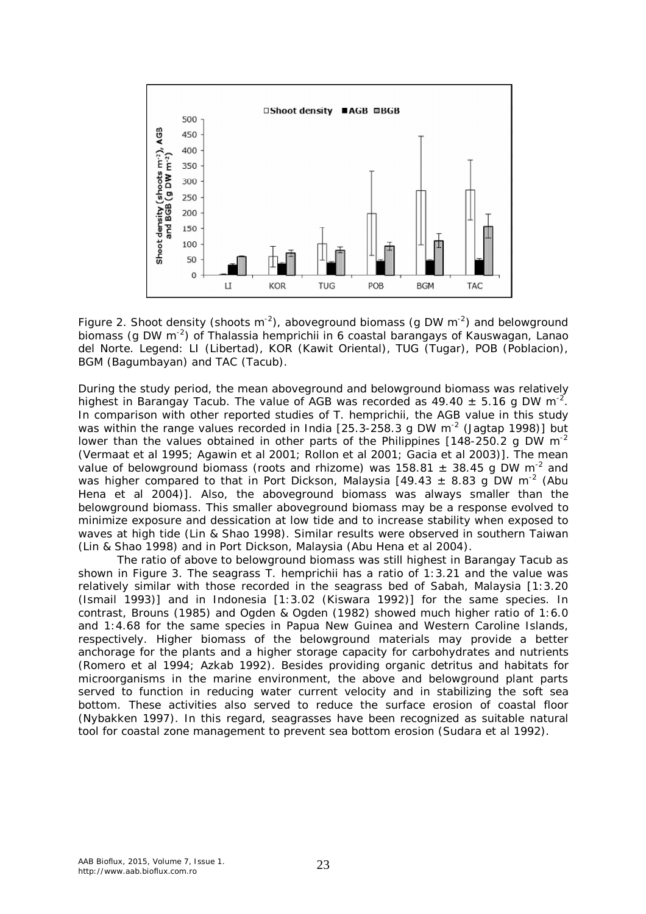

Figure 2. Shoot density (shoots m<sup>-2</sup>), aboveground biomass (g DW m<sup>-2</sup>) and belowground biomass (g DW m<sup>-2</sup>) of *Thalassia hemprichii* in 6 coastal barangays of Kauswagan, Lanao del Norte. Legend: LI (Libertad), KOR (Kawit Oriental), TUG (Tugar), POB (Poblacion), BGM (Bagumbayan) and TAC (Tacub).

During the study period, the mean aboveground and belowground biomass was relatively highest in Barangay Tacub. The value of AGB was recorded as 49.40  $\pm$  5.16 g DW m<sup>-2</sup>. In comparison with other reported studies of *T. hemprichii*, the AGB value in this study was within the range values recorded in India [25.3-258.3 g DW  $m^{-2}$  (Jagtap 1998)] but lower than the values obtained in other parts of the Philippines  $[148-250.2 \text{ g DW m}^{-2}]$ (Vermaat et al 1995; Agawin et al 2001; Rollon et al 2001; Gacia et al 2003)]. The mean value of belowground biomass (roots and rhizome) was 158.81  $\pm$  38.45 g DW m<sup>-2</sup> and was higher compared to that in Port Dickson, Malaysia [49.43  $\pm$  8.83 g DW m<sup>-2</sup> (Abu Hena et al 2004)]. Also, the aboveground biomass was always smaller than the belowground biomass. This smaller aboveground biomass may be a response evolved to minimize exposure and dessication at low tide and to increase stability when exposed to waves at high tide (Lin & Shao 1998). Similar results were observed in southern Taiwan (Lin & Shao 1998) and in Port Dickson, Malaysia (Abu Hena et al 2004).

The ratio of above to belowground biomass was still highest in Barangay Tacub as shown in Figure 3. The seagrass *T. hemprichii* has a ratio of 1:3.21 and the value was relatively similar with those recorded in the seagrass bed of Sabah, Malaysia [1:3.20 (Ismail 1993)] and in Indonesia [1:3.02 (Kiswara 1992)] for the same species. In contrast, Brouns (1985) and Ogden & Ogden (1982) showed much higher ratio of 1:6.0 and 1:4.68 for the same species in Papua New Guinea and Western Caroline Islands, respectively. Higher biomass of the belowground materials may provide a better anchorage for the plants and a higher storage capacity for carbohydrates and nutrients (Romero et al 1994; Azkab 1992). Besides providing organic detritus and habitats for microorganisms in the marine environment, the above and belowground plant parts served to function in reducing water current velocity and in stabilizing the soft sea bottom. These activities also served to reduce the surface erosion of coastal floor (Nybakken 1997). In this regard, seagrasses have been recognized as suitable natural tool for coastal zone management to prevent sea bottom erosion (Sudara et al 1992).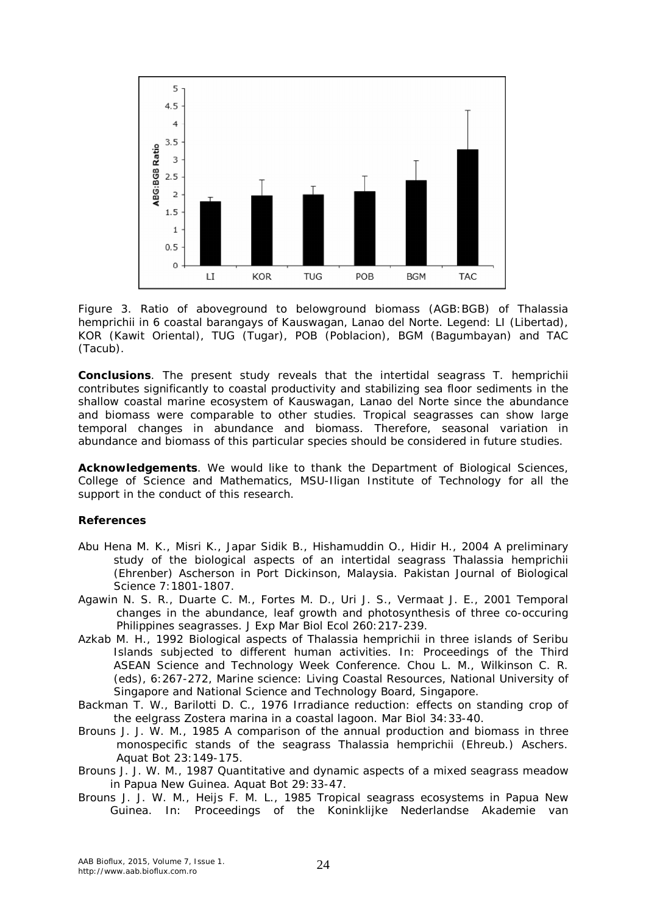

Figure 3. Ratio of aboveground to belowground biomass (AGB:BGB) of *Thalassia hemprichii* in 6 coastal barangays of Kauswagan, Lanao del Norte. Legend: LI (Libertad), KOR (Kawit Oriental), TUG (Tugar), POB (Poblacion), BGM (Bagumbayan) and TAC (Tacub).

**Conclusions**. The present study reveals that the intertidal seagrass *T. hemprichii* contributes significantly to coastal productivity and stabilizing sea floor sediments in the shallow coastal marine ecosystem of Kauswagan, Lanao del Norte since the abundance and biomass were comparable to other studies. Tropical seagrasses can show large temporal changes in abundance and biomass. Therefore, seasonal variation in abundance and biomass of this particular species should be considered in future studies.

**Acknowledgements**. We would like to thank the Department of Biological Sciences, College of Science and Mathematics, MSU-Iligan Institute of Technology for all the support in the conduct of this research.

## **References**

- Abu Hena M. K., Misri K., Japar Sidik B., Hishamuddin O., Hidir H., 2004 A preliminary study of the biological aspects of an intertidal seagrass *Thalassia hemprichii*  (Ehrenber) Ascherson in Port Dickinson, Malaysia. Pakistan Journal of Biological Science 7:1801-1807.
- Agawin N. S. R., Duarte C. M., Fortes M. D., Uri J. S., Vermaat J. E., 2001 Temporal changes in the abundance, leaf growth and photosynthesis of three co-occuring Philippines seagrasses. J Exp Mar Biol Ecol 260:217-239.
- Azkab M. H., 1992 Biological aspects of *Thalassia hemprichii* in three islands of Seribu Islands subjected to different human activities. In: Proceedings of the Third ASEAN Science and Technology Week Conference. Chou L. M., Wilkinson C. R. (eds), 6:267-272, Marine science: Living Coastal Resources, National University of Singapore and National Science and Technology Board, Singapore.
- Backman T. W., Barilotti D. C., 1976 Irradiance reduction: effects on standing crop of the eelgrass *Zostera marina* in a coastal lagoon. Mar Biol 34:33-40.
- Brouns J. J. W. M., 1985 A comparison of the annual production and biomass in three monospecific stands of the seagrass *Thalassia hemprichii* (Ehreub.) Aschers. Aquat Bot 23:149-175.
- Brouns J. J. W. M., 1987 Quantitative and dynamic aspects of a mixed seagrass meadow in Papua New Guinea. Aquat Bot 29:33-47.
- Brouns J. J. W. M., Heijs F. M. L., 1985 Tropical seagrass ecosystems in Papua New Guinea. In: Proceedings of the Koninklijke Nederlandse Akademie van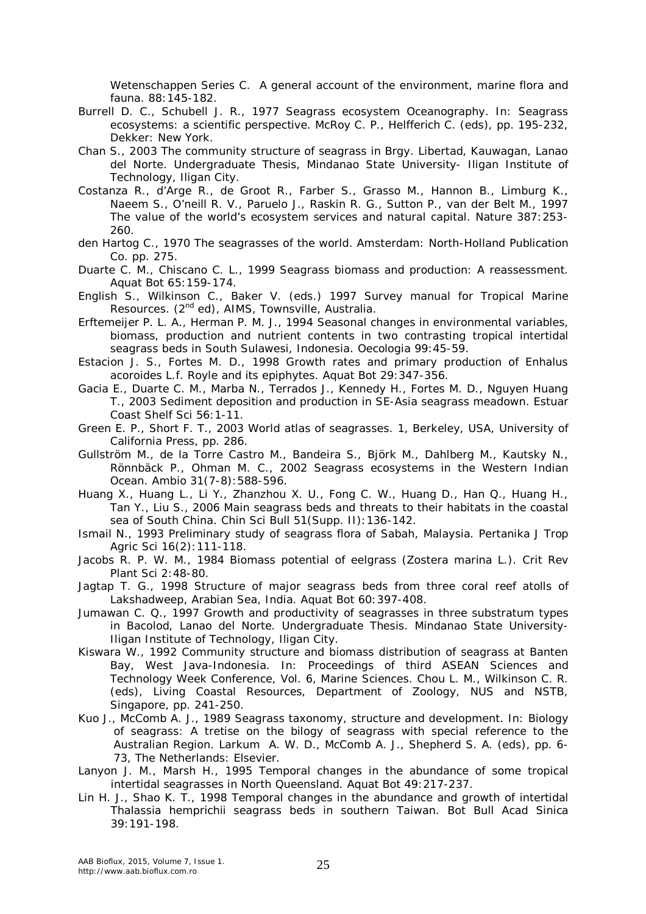Wetenschappen Series C. A general account of the environment, marine flora and fauna. 88:145-182.

- Burrell D. C., Schubell J. R., 1977 Seagrass ecosystem Oceanography. In: Seagrass ecosystems: a scientific perspective. McRoy C. P., Helfferich C. (eds), pp. 195-232, Dekker: New York.
- Chan S., 2003 The community structure of seagrass in Brgy. Libertad, Kauwagan, Lanao del Norte. Undergraduate Thesis, Mindanao State University- Iligan Institute of Technology, Iligan City.
- Costanza R., d'Arge R., de Groot R., Farber S., Grasso M., Hannon B., Limburg K., Naeem S., O'neill R. V., Paruelo J., Raskin R. G., Sutton P., van der Belt M., 1997 The value of the world's ecosystem services and natural capital. Nature 387:253- 260.
- den Hartog C., 1970 The seagrasses of the world. Amsterdam: North-Holland Publication Co. pp. 275.
- Duarte C. M., Chiscano C. L., 1999 Seagrass biomass and production: A reassessment. Aquat Bot 65:159-174.
- English S., Wilkinson C., Baker V. (eds.) 1997 Survey manual for Tropical Marine Resources. (2<sup>nd</sup> ed), AIMS, Townsville, Australia.
- Erftemeijer P. L. A., Herman P. M. J., 1994 Seasonal changes in environmental variables, biomass, production and nutrient contents in two contrasting tropical intertidal seagrass beds in South Sulawesi, Indonesia. Oecologia 99:45-59.
- Estacion J. S., Fortes M. D., 1998 Growth rates and primary production of *Enhalus acoroides* L.f. Royle and its epiphytes. Aquat Bot 29:347-356.
- Gacia E., Duarte C. M., Marba N., Terrados J., Kennedy H., Fortes M. D., Nguyen Huang T., 2003 Sediment deposition and production in SE-Asia seagrass meadown. Estuar Coast Shelf Sci 56:1-11.
- Green E. P., Short F. T., 2003 World atlas of seagrasses. 1, Berkeley, USA, University of California Press, pp. 286.
- Gullström M., de la Torre Castro M., Bandeira S., Björk M., Dahlberg M., Kautsky N., Rönnbäck P., Ohman M. C., 2002 Seagrass ecosystems in the Western Indian Ocean. Ambio 31(7-8):588-596.
- Huang X., Huang L., Li Y., Zhanzhou X. U., Fong C. W., Huang D., Han Q., Huang H., Tan Y., Liu S., 2006 Main seagrass beds and threats to their habitats in the coastal sea of South China. Chin Sci Bull 51(Supp. II):136-142.
- Ismail N., 1993 Preliminary study of seagrass flora of Sabah, Malaysia. Pertanika J Trop Agric Sci 16(2):111-118.
- Jacobs R. P. W. M., 1984 Biomass potential of eelgrass (*Zostera marina* L.). Crit Rev Plant Sci 2:48-80.
- Jagtap T. G., 1998 Structure of major seagrass beds from three coral reef atolls of Lakshadweep, Arabian Sea, India. Aquat Bot 60:397-408.
- Jumawan C. Q., 1997 Growth and productivity of seagrasses in three substratum types in Bacolod, Lanao del Norte. Undergraduate Thesis. Mindanao State University-Iligan Institute of Technology, Iligan City.
- Kiswara W., 1992 Community structure and biomass distribution of seagrass at Banten Bay, West Java-Indonesia. In: Proceedings of third ASEAN Sciences and Technology Week Conference, Vol. 6, Marine Sciences. Chou L. M., Wilkinson C. R. (eds), Living Coastal Resources, Department of Zoology, NUS and NSTB, Singapore, pp. 241-250.
- Kuo J., McComb A. J., 1989 Seagrass taxonomy, structure and development. In: Biology of seagrass: A tretise on the bilogy of seagrass with special reference to the Australian Region. Larkum A. W. D., McComb A. J., Shepherd S. A. (eds), pp. 6- 73, The Netherlands: Elsevier.
- Lanyon J. M., Marsh H., 1995 Temporal changes in the abundance of some tropical intertidal seagrasses in North Queensland. Aquat Bot 49:217-237.
- Lin H. J., Shao K. T., 1998 Temporal changes in the abundance and growth of intertidal *Thalassia hemprichii* seagrass beds in southern Taiwan. Bot Bull Acad Sinica 39:191-198.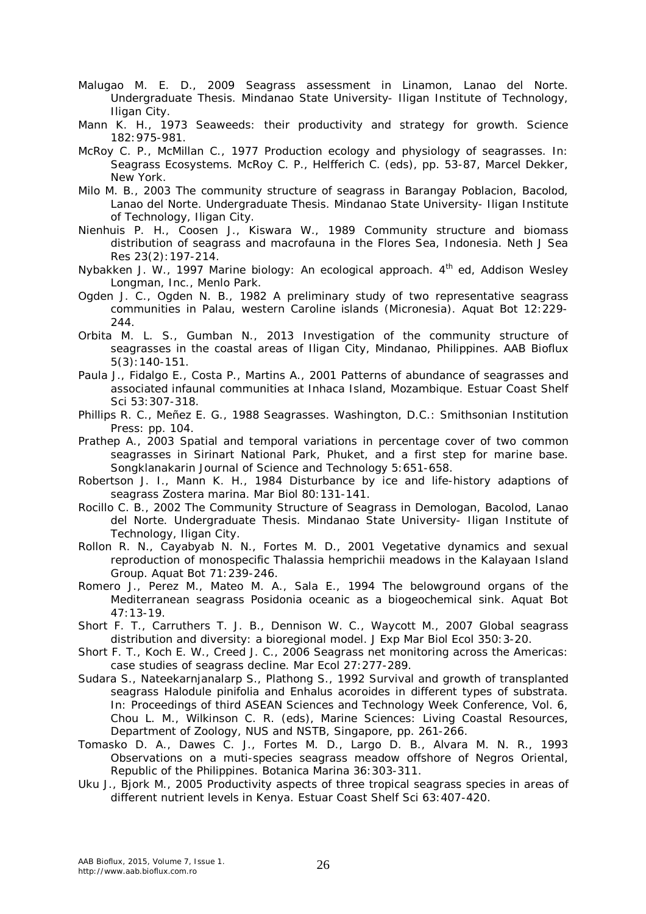- Malugao M. E. D., 2009 Seagrass assessment in Linamon, Lanao del Norte. Undergraduate Thesis. Mindanao State University- Iligan Institute of Technology, Iligan City.
- Mann K. H., 1973 Seaweeds: their productivity and strategy for growth. Science 182:975-981.
- McRoy C. P., McMillan C., 1977 Production ecology and physiology of seagrasses. In: Seagrass Ecosystems. McRoy C. P., Helfferich C. (eds), pp. 53-87, Marcel Dekker, New York.
- Milo M. B., 2003 The community structure of seagrass in Barangay Poblacion, Bacolod, Lanao del Norte. Undergraduate Thesis. Mindanao State University- Iligan Institute of Technology, Iligan City.
- Nienhuis P. H., Coosen J., Kiswara W., 1989 Community structure and biomass distribution of seagrass and macrofauna in the Flores Sea, Indonesia. Neth J Sea Res 23(2):197-214.
- Nybakken J. W., 1997 Marine biology: An ecological approach. 4<sup>th</sup> ed, Addison Wesley Longman, Inc., Menlo Park.
- Ogden J. C., Ogden N. B., 1982 A preliminary study of two representative seagrass communities in Palau, western Caroline islands (Micronesia). Aquat Bot 12:229- 244.
- Orbita M. L. S., Gumban N., 2013 Investigation of the community structure of seagrasses in the coastal areas of Iligan City, Mindanao, Philippines. AAB Bioflux 5(3):140-151.
- Paula J., Fidalgo E., Costa P., Martins A., 2001 Patterns of abundance of seagrasses and associated infaunal communities at Inhaca Island, Mozambique. Estuar Coast Shelf Sci 53:307-318.
- Phillips R. C., Meñez E. G., 1988 Seagrasses. Washington, D.C.: Smithsonian Institution Press: pp. 104.
- Prathep A., 2003 Spatial and temporal variations in percentage cover of two common seagrasses in Sirinart National Park, Phuket, and a first step for marine base. Songklanakarin Journal of Science and Technology 5:651-658.
- Robertson J. I., Mann K. H., 1984 Disturbance by ice and life-history adaptions of seagrass *Zostera marina*. Mar Biol 80:131-141.
- Rocillo C. B., 2002 The Community Structure of Seagrass in Demologan, Bacolod, Lanao del Norte. Undergraduate Thesis. Mindanao State University- Iligan Institute of Technology, Iligan City.
- Rollon R. N., Cayabyab N. N., Fortes M. D., 2001 Vegetative dynamics and sexual reproduction of monospecific *Thalassia hemprichii* meadows in the Kalayaan Island Group. Aquat Bot 71:239-246.
- Romero J., Perez M., Mateo M. A., Sala E., 1994 The belowground organs of the Mediterranean seagrass *Posidonia oceanic* as a biogeochemical sink. Aquat Bot 47:13-19.
- Short F. T., Carruthers T. J. B., Dennison W. C., Waycott M., 2007 Global seagrass distribution and diversity: a bioregional model. J Exp Mar Biol Ecol 350:3-20.
- Short F. T., Koch E. W., Creed J. C., 2006 Seagrass net monitoring across the Americas: case studies of seagrass decline. Mar Ecol 27:277-289.
- Sudara S., Nateekarnjanalarp S., Plathong S., 1992 Survival and growth of transplanted seagrass *Halodule pinifolia* and *Enhalus acoroides* in different types of substrata. In: Proceedings of third ASEAN Sciences and Technology Week Conference, Vol. 6, Chou L. M., Wilkinson C. R. (eds), Marine Sciences: Living Coastal Resources, Department of Zoology, NUS and NSTB, Singapore, pp. 261-266.
- Tomasko D. A., Dawes C. J., Fortes M. D., Largo D. B., Alvara M. N. R., 1993 Observations on a muti-species seagrass meadow offshore of Negros Oriental, Republic of the Philippines. Botanica Marina 36:303-311.
- Uku J., Bjork M., 2005 Productivity aspects of three tropical seagrass species in areas of different nutrient levels in Kenya. Estuar Coast Shelf Sci 63:407-420.